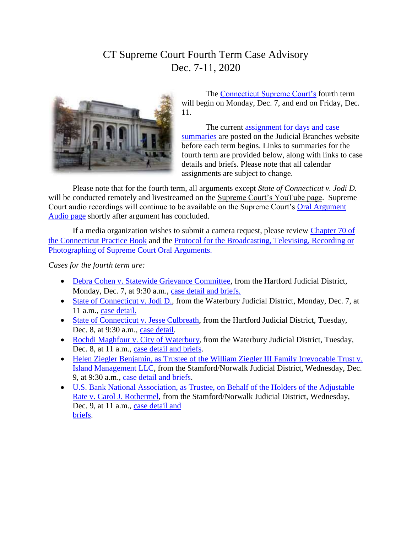## CT Supreme Court Fourth Term Case Advisory Dec. 7-11, 2020



The [Connecticut Supreme Court's](https://jud.ct.gov/supremecourt/) fourth term will begin on Monday, Dec. 7, and end on Friday, Dec. 11.

The current [assignment for days and case](https://www.jud.ct.gov/external/supapp/sup_assign.htm)  [summaries](https://www.jud.ct.gov/external/supapp/sup_assign.htm) are posted on the Judicial Branches website before each term begins. Links to summaries for the fourth term are provided below, along with links to case details and briefs. Please note that all calendar assignments are subject to change.

Please note that for the fourth term, all arguments except *State of Connecticut v. Jodi D.* will be conducted remotely and livestreamed on the [Supreme Court's YouTube page.](https://www.youtube.com/channel/UC5TXrtDyemrV5R6p73A-7Ug/videos?view_as=subscriber) Supreme Court audio recordings will continue to be available on the Supreme Court's [Oral Argument](http://appellateinquiry.jud.ct.gov/CaseDetail.aspx?CRN=73514&Type=AppealNo)  [Audio page](http://appellateinquiry.jud.ct.gov/CaseDetail.aspx?CRN=73514&Type=AppealNo) shortly after argument has concluded.

If a media organization wishes to submit a camera request, please review Chapter 70 of [the Connecticut Practice Book](http://www.jud.ct.gov/pb.htm) and the [Protocol for the Broadcasting, Televising, Recording or](http://www.jud.ct.gov/external/supapp/protocol_sup_oral_argu.htm)  [Photographing of Supreme Court Oral Arguments.](http://www.jud.ct.gov/external/supapp/protocol_sup_oral_argu.htm)

*Cases for the fourth term are:*

- [Debra Cohen v. Statewide Grievance Committee,](https://jud.ct.gov/external/supapp/summaries/docket/20356.htm) from the Hartford Judicial District, Monday, Dec. 7, at 9:30 a.m., [case detail and briefs.](http://appellateinquiry.jud.ct.gov/CaseDetail.aspx?CRN=72225&Type=AppealNo)
- [State of Connecticut v. Jodi D.,](https://jud.ct.gov/external/supapp/summaries/docket/20370.htm) from the Waterbury Judicial District, Monday, Dec. 7, at 11 a.m., [case detail.](http://appellateinquiry.jud.ct.gov/CaseDetail.aspx?CRN=72312&Type=AppealNo)
- [State of Connecticut v. Jesse Culbreath,](https://jud.ct.gov/external/supapp/summaries/docket/20276.htm) from the Hartford Judicial District, Tuesday, Dec. 8, at 9:30 a.m., [case detail.](http://appellateinquiry.jud.ct.gov/CaseDetail.aspx?CRN=60986&Type=AppealNo)
- [Rochdi Maghfour v. City of Waterbury](https://jud.ct.gov/external/supapp/summaries/docket/20502.htm), from the Waterbury Judicial District, Tuesday, Dec. 8, at 11 a.m., [case detail and briefs.](http://appellateinquiry.jud.ct.gov/CaseDetail.aspx?CRN=74184&Type=AppealNo)
- Helen Ziegler Benjamin, as Trustee of the William Ziegler III Family Irrevocable Trust v. [Island Management LLC,](https://jud.ct.gov/external/supapp/summaries/docket/20501.htm) from the Stamford/Norwalk Judicial District, Wednesday, Dec. 9, at 9:30 a.m., [case detail and briefs.](http://appellateinquiry.jud.ct.gov/CaseDetail.aspx?CRN=74181&Type=AppealNo)
- [U.S. Bank National Association, as Trustee, on Behalf of the Holders of the Adjustable](https://jud.ct.gov/external/supapp/summaries/docket/20463.htm)  [Rate v. Carol J. Rothermel,](https://jud.ct.gov/external/supapp/summaries/docket/20463.htm) from the Stamford/Norwalk Judicial District, Wednesday, Dec. 9, at 11 a.m., [case detail and](http://appellateinquiry.jud.ct.gov/CaseDetail.aspx?CRN=73514&Type=AppealNo)  [briefs.](http://appellateinquiry.jud.ct.gov/CaseDetail.aspx?CRN=73514&Type=AppealNo)